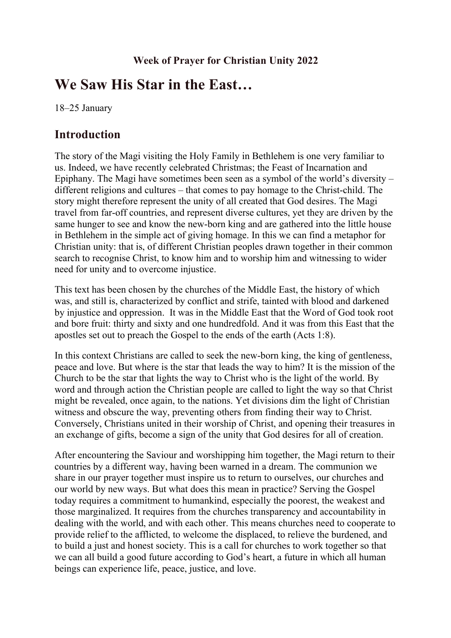# **We Saw His Star in the East…**

18–25 January

## **Introduction**

The story of the Magi visiting the Holy Family in Bethlehem is one very familiar to us. Indeed, we have recently celebrated Christmas; the Feast of Incarnation and Epiphany. The Magi have sometimes been seen as a symbol of the world's diversity – different religions and cultures – that comes to pay homage to the Christ-child. The story might therefore represent the unity of all created that God desires. The Magi travel from far-off countries, and represent diverse cultures, yet they are driven by the same hunger to see and know the new-born king and are gathered into the little house in Bethlehem in the simple act of giving homage. In this we can find a metaphor for Christian unity: that is, of different Christian peoples drawn together in their common search to recognise Christ, to know him and to worship him and witnessing to wider need for unity and to overcome injustice.

This text has been chosen by the churches of the Middle East, the history of which was, and still is, characterized by conflict and strife, tainted with blood and darkened by injustice and oppression. It was in the Middle East that the Word of God took root and bore fruit: thirty and sixty and one hundredfold. And it was from this East that the apostles set out to preach the Gospel to the ends of the earth (Acts 1:8).

In this context Christians are called to seek the new-born king, the king of gentleness, peace and love. But where is the star that leads the way to him? It is the mission of the Church to be the star that lights the way to Christ who is the light of the world. By word and through action the Christian people are called to light the way so that Christ might be revealed, once again, to the nations. Yet divisions dim the light of Christian witness and obscure the way, preventing others from finding their way to Christ. Conversely, Christians united in their worship of Christ, and opening their treasures in an exchange of gifts, become a sign of the unity that God desires for all of creation.

After encountering the Saviour and worshipping him together, the Magi return to their countries by a different way, having been warned in a dream. The communion we share in our prayer together must inspire us to return to ourselves, our churches and our world by new ways. But what does this mean in practice? Serving the Gospel today requires a commitment to humankind, especially the poorest, the weakest and those marginalized. It requires from the churches transparency and accountability in dealing with the world, and with each other. This means churches need to cooperate to provide relief to the afflicted, to welcome the displaced, to relieve the burdened, and to build a just and honest society. This is a call for churches to work together so that we can all build a good future according to God's heart, a future in which all human beings can experience life, peace, justice, and love.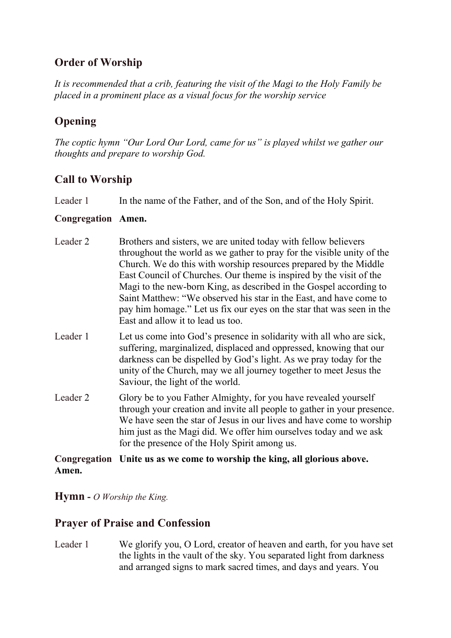## **Order of Worship**

*It is recommended that a crib, featuring the visit of the Magi to the Holy Family be placed in a prominent place as a visual focus for the worship service*

# **Opening**

*The coptic hymn "Our Lord Our Lord, came for us" is played whilst we gather our thoughts and prepare to worship God.*

## **Call to Worship**

Leader 1 In the name of the Father, and of the Son, and of the Holy Spirit.

#### **Congregation Amen.**

- Leader 2 Brothers and sisters, we are united today with fellow believers throughout the world as we gather to pray for the visible unity of the Church. We do this with worship resources prepared by the Middle East Council of Churches. Our theme is inspired by the visit of the Magi to the new-born King, as described in the Gospel according to Saint Matthew: "We observed his star in the East, and have come to pay him homage." Let us fix our eyes on the star that was seen in the East and allow it to lead us too.
- Leader 1 Let us come into God's presence in solidarity with all who are sick, suffering, marginalized, displaced and oppressed, knowing that our darkness can be dispelled by God's light. As we pray today for the unity of the Church, may we all journey together to meet Jesus the Saviour, the light of the world.
- Leader 2 Glory be to you Father Almighty, for you have revealed yourself through your creation and invite all people to gather in your presence. We have seen the star of Jesus in our lives and have come to worship him just as the Magi did. We offer him ourselves today and we ask for the presence of the Holy Spirit among us.

#### **Congregation Unite us as we come to worship the king, all glorious above. Amen.**

**Hymn -** *O Worship the King.*

## **Prayer of Praise and Confession**

Leader 1 We glorify you, O Lord, creator of heaven and earth, for you have set the lights in the vault of the sky. You separated light from darkness and arranged signs to mark sacred times, and days and years. You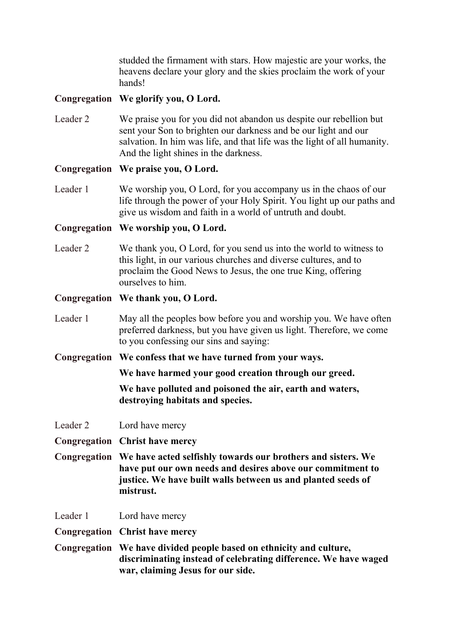studded the firmament with stars. How majestic are your works, the heavens declare your glory and the skies proclaim the work of your hands!

#### **Congregation We glorify you, O Lord.**

Leader 2 We praise you for you did not abandon us despite our rebellion but sent your Son to brighten our darkness and be our light and our salvation. In him was life, and that life was the light of all humanity. And the light shines in the darkness.

#### **Congregation We praise you, O Lord.**

Leader 1 We worship you, O Lord, for you accompany us in the chaos of our life through the power of your Holy Spirit. You light up our paths and give us wisdom and faith in a world of untruth and doubt.

#### **Congregation We worship you, O Lord.**

Leader 2 We thank you, O Lord, for you send us into the world to witness to this light, in our various churches and diverse cultures, and to proclaim the Good News to Jesus, the one true King, offering ourselves to him.

#### **Congregation We thank you, O Lord.**

- Leader 1 May all the peoples bow before you and worship you. We have often preferred darkness, but you have given us light. Therefore, we come to you confessing our sins and saying:
- **Congregation We confess that we have turned from your ways.**

**We have harmed your good creation through our greed.**

**We have polluted and poisoned the air, earth and waters, destroying habitats and species.**

- Leader 2 Lord have mercy
- **Congregation Christ have mercy**
- **Congregation We have acted selfishly towards our brothers and sisters. We have put our own needs and desires above our commitment to justice. We have built walls between us and planted seeds of mistrust.**
- Leader 1 Lord have mercy

**Congregation Christ have mercy**

**Congregation We have divided people based on ethnicity and culture, discriminating instead of celebrating difference. We have waged war, claiming Jesus for our side.**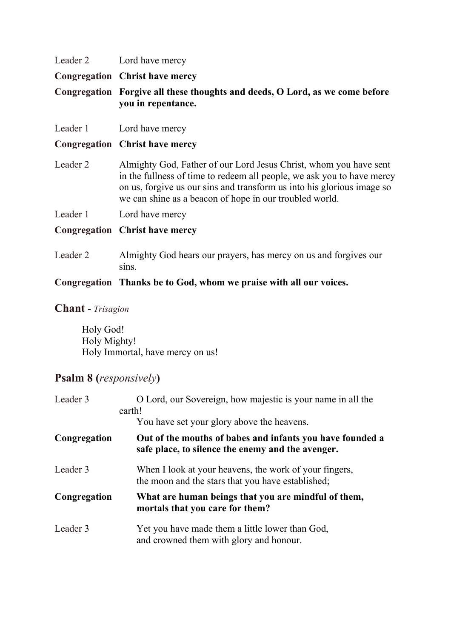|          | Leader 2 Lord have mercy                                                                                                                    |  |
|----------|---------------------------------------------------------------------------------------------------------------------------------------------|--|
|          | <b>Congregation Christ have mercy</b>                                                                                                       |  |
|          | Congregation Forgive all these thoughts and deeds, O Lord, as we come before<br>you in repentance.                                          |  |
|          | Leader 1 Lord have mercy                                                                                                                    |  |
|          | <b>Congregation Christ have mercy</b>                                                                                                       |  |
| Leader 2 | Almighty God, Father of our Lord Jesus Christ, whom you have sent<br>in the fullness of time to redeem all people, we ask you to have mercy |  |

in the fullness of time to redeem all people, we ask you to have mercy on us, forgive us our sins and transform us into his glorious image so we can shine as a beacon of hope in our troubled world.

Leader 1 Lord have mercy

### **Congregation Christ have mercy**

Leader 2 Almighty God hears our prayers, has mercy on us and forgives our sins.

#### **Congregation Thanks be to God, whom we praise with all our voices.**

#### **Chant -** *Trisagion*

Holy God! Holy Mighty! Holy Immortal, have mercy on us!

## **Psalm 8 (***responsively***)**

| Leader 3     | O Lord, our Sovereign, how majestic is your name in all the<br>earth!                                          |  |
|--------------|----------------------------------------------------------------------------------------------------------------|--|
|              | You have set your glory above the heavens.                                                                     |  |
| Congregation | Out of the mouths of babes and infants you have founded a<br>safe place, to silence the enemy and the avenger. |  |
| Leader 3     | When I look at your heavens, the work of your fingers,<br>the moon and the stars that you have established;    |  |
| Congregation | What are human beings that you are mindful of them,<br>mortals that you care for them?                         |  |
| Leader 3     | Yet you have made them a little lower than God,<br>and crowned them with glory and honour.                     |  |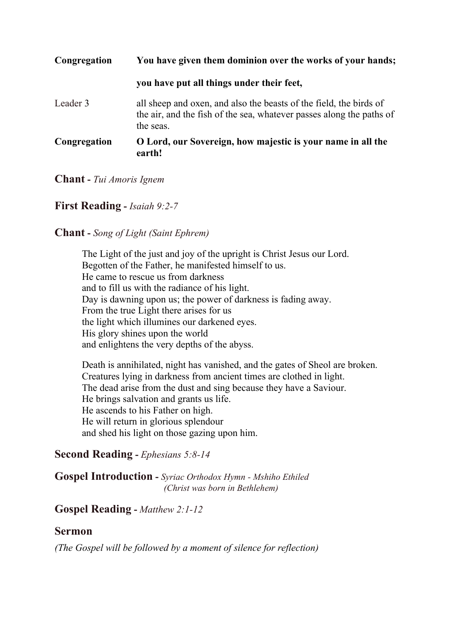| Congregation | You have given them dominion over the works of your hands;                                                                                              |  |
|--------------|---------------------------------------------------------------------------------------------------------------------------------------------------------|--|
|              | you have put all things under their feet,                                                                                                               |  |
| Leader 3     | all sheep and oxen, and also the beasts of the field, the birds of<br>the air, and the fish of the sea, whatever passes along the paths of<br>the seas. |  |
| Congregation | O Lord, our Sovereign, how majestic is your name in all the<br>earth!                                                                                   |  |

#### **Chant -** *Tui Amoris Ignem*

#### **First Reading -** *Isaiah 9:2-7*

#### **Chant -** *Song of Light (Saint Ephrem)*

The Light of the just and joy of the upright is Christ Jesus our Lord. Begotten of the Father, he manifested himself to us. He came to rescue us from darkness and to fill us with the radiance of his light. Day is dawning upon us; the power of darkness is fading away. From the true Light there arises for us the light which illumines our darkened eyes. His glory shines upon the world and enlightens the very depths of the abyss.

Death is annihilated, night has vanished, and the gates of Sheol are broken. Creatures lying in darkness from ancient times are clothed in light. The dead arise from the dust and sing because they have a Saviour. He brings salvation and grants us life. He ascends to his Father on high. He will return in glorious splendour and shed his light on those gazing upon him.

#### **Second Reading -** *Ephesians 5:8-14*

**Gospel Introduction -** *Syriac Orthodox Hymn - Mshiho Ethiled (Christ was born in Bethlehem)*

## **Gospel Reading -** *Matthew 2:1-12*

#### **Sermon**

*(The Gospel will be followed by a moment of silence for reflection)*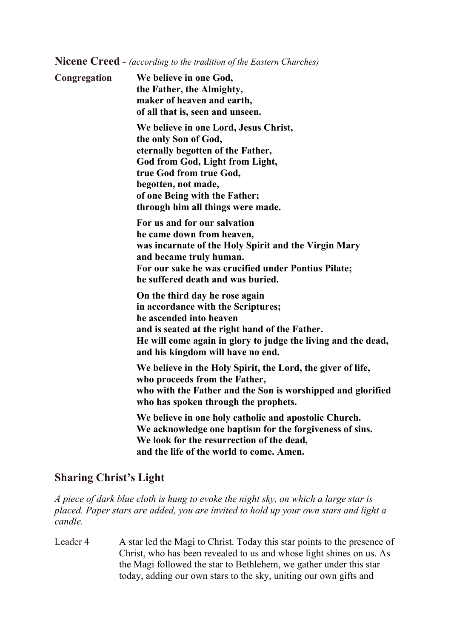**Nicene Creed -** *(according to the tradition of the Eastern Churches)*

**Congregation We believe in one God, the Father, the Almighty, maker of heaven and earth, of all that is, seen and unseen. We believe in one Lord, Jesus Christ, the only Son of God, eternally begotten of the Father, God from God, Light from Light, true God from true God, begotten, not made, of one Being with the Father; through him all things were made. For us and for our salvation he came down from heaven, was incarnate of the Holy Spirit and the Virgin Mary and became truly human. For our sake he was crucified under Pontius Pilate; he suffered death and was buried. On the third day he rose again in accordance with the Scriptures; he ascended into heaven and is seated at the right hand of the Father. He will come again in glory to judge the living and the dead, and his kingdom will have no end. We believe in the Holy Spirit, the Lord, the giver of life, who proceeds from the Father, who with the Father and the Son is worshipped and glorified who has spoken through the prophets. We believe in one holy catholic and apostolic Church. We acknowledge one baptism for the forgiveness of sins. We look for the resurrection of the dead, and the life of the world to come. Amen.**

### **Sharing Christ's Light**

*A piece of dark blue cloth is hung to evoke the night sky, on which a large star is placed. Paper stars are added, you are invited to hold up your own stars and light a candle.*

Leader 4 A star led the Magi to Christ. Today this star points to the presence of Christ, who has been revealed to us and whose light shines on us. As the Magi followed the star to Bethlehem, we gather under this star today, adding our own stars to the sky, uniting our own gifts and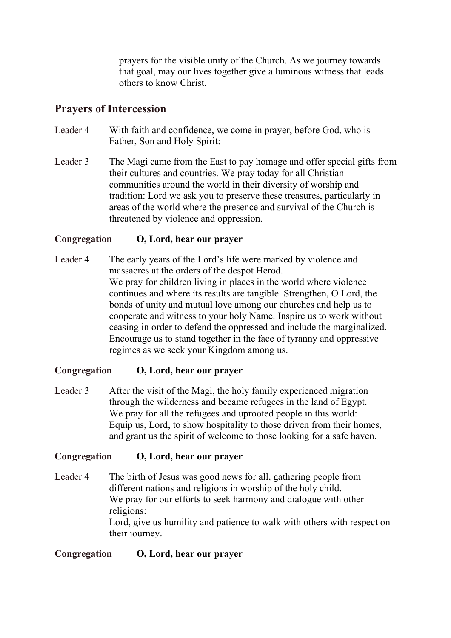prayers for the visible unity of the Church. As we journey towards that goal, may our lives together give a luminous witness that leads others to know Christ.

### **Prayers of Intercession**

- Leader 4 With faith and confidence, we come in prayer, before God, who is Father, Son and Holy Spirit:
- Leader 3 The Magi came from the East to pay homage and offer special gifts from their cultures and countries. We pray today for all Christian communities around the world in their diversity of worship and tradition: Lord we ask you to preserve these treasures, particularly in areas of the world where the presence and survival of the Church is threatened by violence and oppression.

#### **Congregation O, Lord, hear our prayer**

Leader 4 The early years of the Lord's life were marked by violence and massacres at the orders of the despot Herod. We pray for children living in places in the world where violence continues and where its results are tangible. Strengthen, O Lord, the bonds of unity and mutual love among our churches and help us to cooperate and witness to your holy Name. Inspire us to work without ceasing in order to defend the oppressed and include the marginalized. Encourage us to stand together in the face of tyranny and oppressive regimes as we seek your Kingdom among us.

#### **Congregation O, Lord, hear our prayer**

Leader 3 After the visit of the Magi, the holy family experienced migration through the wilderness and became refugees in the land of Egypt. We pray for all the refugees and uprooted people in this world: Equip us, Lord, to show hospitality to those driven from their homes, and grant us the spirit of welcome to those looking for a safe haven.

#### **Congregation O, Lord, hear our prayer**

Leader 4 The birth of Jesus was good news for all, gathering people from different nations and religions in worship of the holy child. We pray for our efforts to seek harmony and dialogue with other religions: Lord, give us humility and patience to walk with others with respect on their journey.

#### **Congregation O, Lord, hear our prayer**